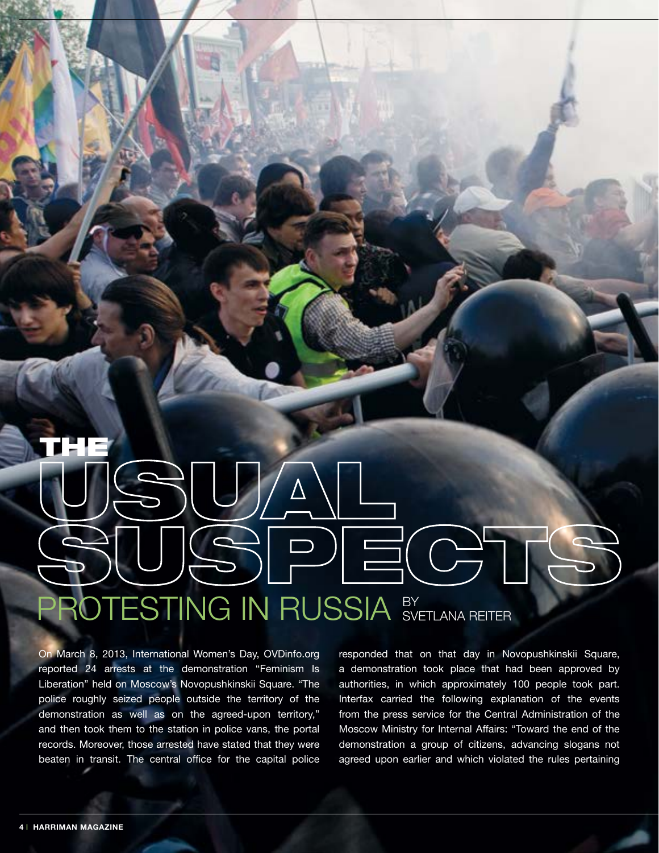## THE $\Rightarrow$   $\equiv$   $\Rightarrow$ PROTESTING IN RUSSIA BY SVETLANA RE

On March 8, 2013, International Women's Day, OVDinfo.org reported 24 arrests at the demonstration "Feminism Is Liberation" held on Moscow's Novopushkinskii Square. "The police roughly seized people outside the territory of the demonstration as well as on the agreed-upon territory," and then took them to the station in police vans, the portal records. Moreover, those arrested have stated that they were beaten in transit. The central office for the capital police

responded that on that day in Novopushkinskii Square, a demonstration took place that had been approved by authorities, in which approximately 100 people took part. Interfax carried the following explanation of the events from the press service for the Central Administration of the Moscow Ministry for Internal Affairs: "Toward the end of the demonstration a group of citizens, advancing slogans not agreed upon earlier and which violated the rules pertaining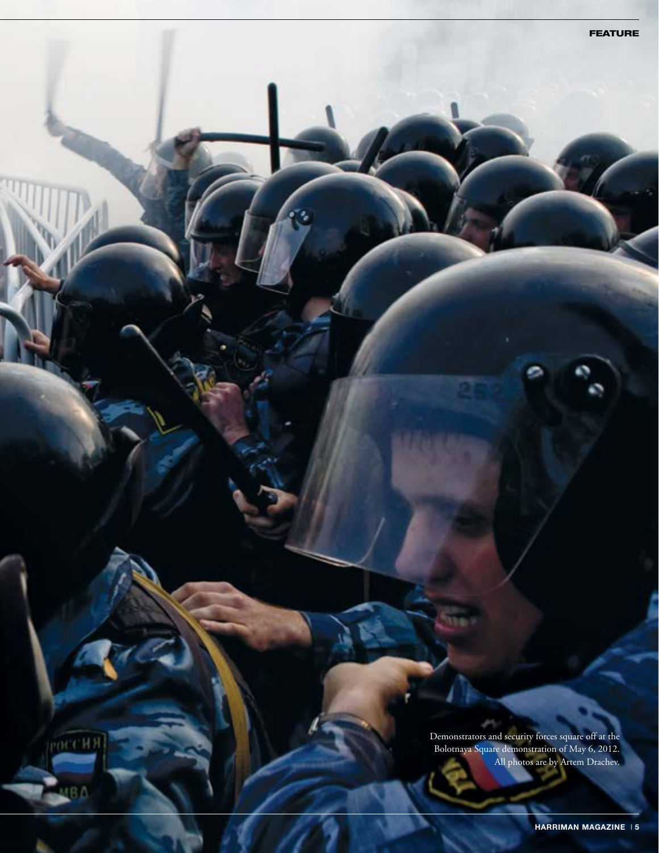Demonstrators and security forces square off at the Bolotnaya Square demonstration of May 6, 2012. All photos are by Artem Drachev.

**РОССИЯ** 

ΒΔ

FEATURE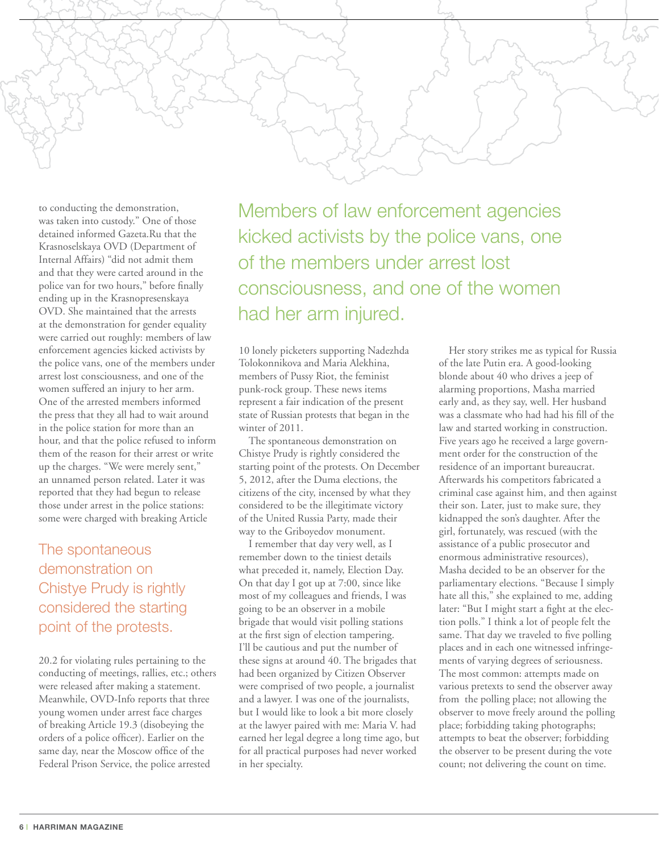

to conducting the demonstration, was taken into custody." One of those detained informed Gazeta.Ru that the Krasnoselskaya OVD (Department of Internal Affairs) "did not admit them and that they were carted around in the police van for two hours," before finally ending up in the Krasnopresenskaya OVD. She maintained that the arrests at the demonstration for gender equality were carried out roughly: members of law enforcement agencies kicked activists by the police vans, one of the members under arrest lost consciousness, and one of the women suffered an injury to her arm. One of the arrested members informed the press that they all had to wait around in the police station for more than an hour, and that the police refused to inform them of the reason for their arrest or write up the charges. "We were merely sent," an unnamed person related. Later it was reported that they had begun to release those under arrest in the police stations: some were charged with breaking Article

## The spontaneous demonstration on Chistye Prudy is rightly considered the starting point of the protests.

20.2 for violating rules pertaining to the conducting of meetings, rallies, etc.; others were released after making a statement. Meanwhile, OVD-Info reports that three young women under arrest face charges of breaking Article 19.3 (disobeying the orders of a police officer). Earlier on the same day, near the Moscow office of the Federal Prison Service, the police arrested

Members of law enforcement agencies kicked activists by the police vans, one of the members under arrest lost consciousness, and one of the women had her arm injured.

10 lonely picketers supporting Nadezhda Tolokonnikova and Maria Alekhina, members of Pussy Riot, the feminist punk-rock group. These news items represent a fair indication of the present state of Russian protests that began in the winter of 2011.

The spontaneous demonstration on Chistye Prudy is rightly considered the starting point of the protests. On December 5, 2012, after the Duma elections, the citizens of the city, incensed by what they considered to be the illegitimate victory of the United Russia Party, made their way to the Griboyedov monument.

I remember that day very well, as I remember down to the tiniest details what preceded it, namely, Election Day. On that day I got up at 7:00, since like most of my colleagues and friends, I was going to be an observer in a mobile brigade that would visit polling stations at the first sign of election tampering. I'll be cautious and put the number of these signs at around 40. The brigades that had been organized by Citizen Observer were comprised of two people, a journalist and a lawyer. I was one of the journalists, but I would like to look a bit more closely at the lawyer paired with me: Maria V. had earned her legal degree a long time ago, but for all practical purposes had never worked in her specialty.

Her story strikes me as typical for Russia of the late Putin era. A good-looking blonde about 40 who drives a jeep of alarming proportions, Masha married early and, as they say, well. Her husband was a classmate who had had his fill of the law and started working in construction. Five years ago he received a large government order for the construction of the residence of an important bureaucrat. Afterwards his competitors fabricated a criminal case against him, and then against their son. Later, just to make sure, they kidnapped the son's daughter. After the girl, fortunately, was rescued (with the assistance of a public prosecutor and enormous administrative resources), Masha decided to be an observer for the parliamentary elections. "Because I simply hate all this," she explained to me, adding later: "But I might start a fight at the election polls." I think a lot of people felt the same. That day we traveled to five polling places and in each one witnessed infringements of varying degrees of seriousness. The most common: attempts made on various pretexts to send the observer away from the polling place; not allowing the observer to move freely around the polling place; forbidding taking photographs; attempts to beat the observer; forbidding the observer to be present during the vote count; not delivering the count on time.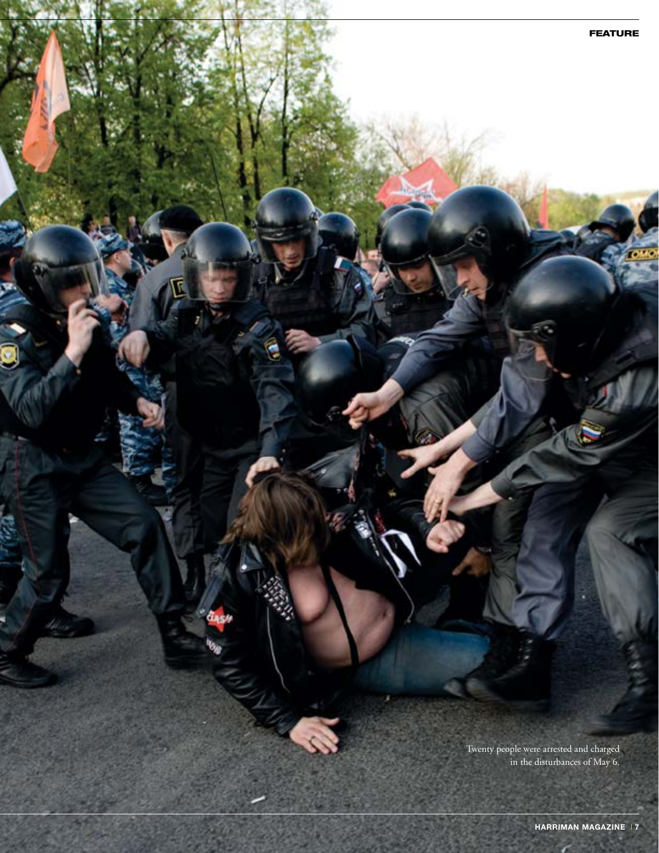Twenty people were arrested and charged in the disturbances of May 6.

FEATURE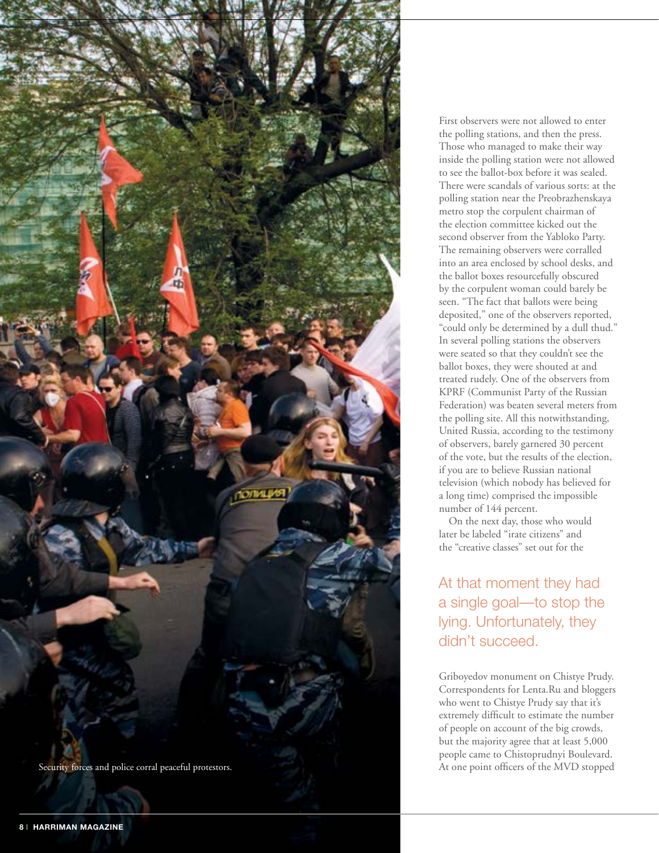

First observers were not allowed to enter the polling stations, and then the press. Those who managed to make their way inside the polling station were not allowed to see the ballot-box before it was sealed. There were scandals of various sorts: at the polling station near the Preobrazhenskaya metro stop the corpulent chairman of the election committee kicked out the second observer from the Yabloko Party. The remaining observers were corralled into an area enclosed by school desks, and the ballot boxes resourcefully obscured by the corpulent woman could barely be seen. "The fact that ballots were being deposited," one of the observers reported, "could only be determined by a dull thud." In several polling stations the observers were seated so that they couldn't see the ballot boxes, they were shouted at and treated rudely. One of the observers from KPRF (Communist Party of the Russian Federation) was beaten several meters from the polling site. All this notwithstanding, United Russia, according to the testimony of observers, barely garnered 30 percent of the vote, but the results of the election, if you are to believe Russian national television (which nobody has believed for a long time) comprised the impossible number of 144 percent.

On the next day, those who would later be labeled "irate citizens" and the "creative classes" set out for the

At that moment they had a single goal—to stop the lying. Unfortunately, they didn't succeed.

Griboyedov monument on Chistye Prudy. Correspondents for Lenta.Ru and bloggers who went to Chistye Prudy say that it's extremely difficult to estimate the number of people on account of the big crowds, but the majority agree that at least 5,000 people came to Chistoprudnyi Boulevard. At one point officers of the MVD stopped